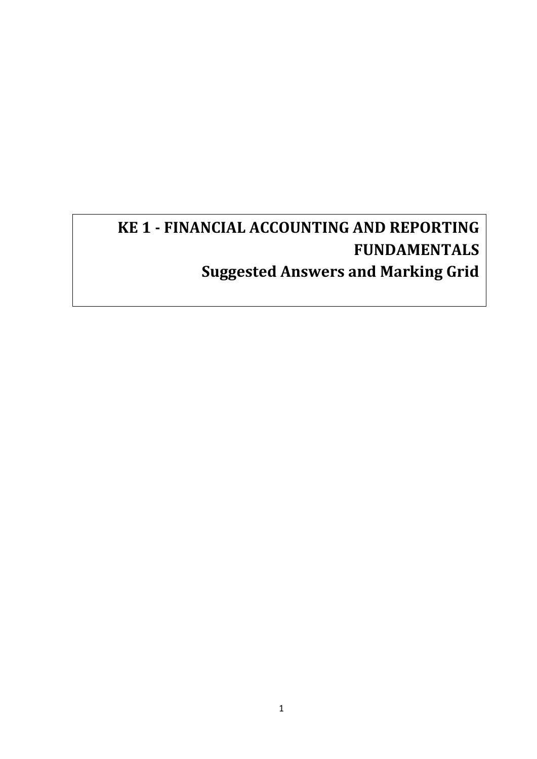# **KE 1 - FINANCIAL ACCOUNTING AND REPORTING FUNDAMENTALS Suggested Answers and Marking Grid**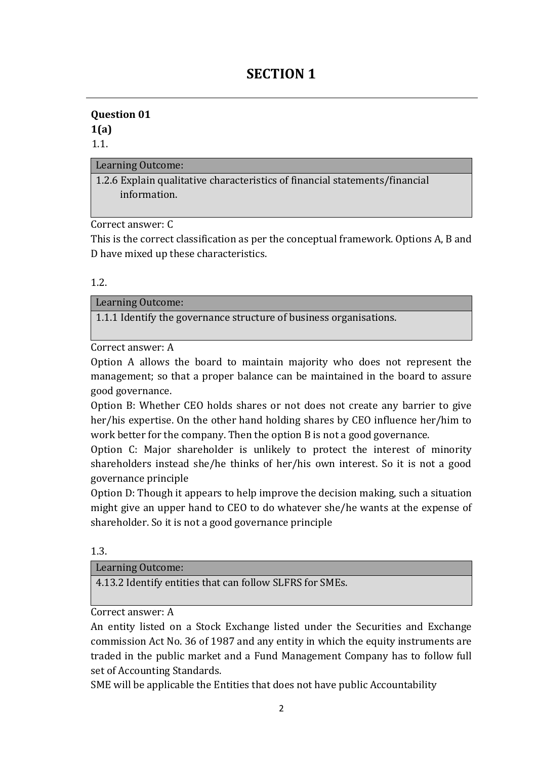# **SECTION 1**

### **Question 01 1(a)**

1.1.

### Learning Outcome:

1.2.6 Explain qualitative characteristics of financial statements/financial information.

Correct answer: C

This is the correct classification as per the conceptual framework. Options A, B and D have mixed up these characteristics.

1.2.

### Learning Outcome:

1.1.1 Identify the governance structure of business organisations.

Correct answer: A

Option A allows the board to maintain majority who does not represent the management; so that a proper balance can be maintained in the board to assure good governance.

Option B: Whether CEO holds shares or not does not create any barrier to give her/his expertise. On the other hand holding shares by CEO influence her/him to work better for the company. Then the option B is not a good governance.

Option C: Major shareholder is unlikely to protect the interest of minority shareholders instead she/he thinks of her/his own interest. So it is not a good governance principle

Option D: Though it appears to help improve the decision making, such a situation might give an upper hand to CEO to do whatever she/he wants at the expense of shareholder. So it is not a good governance principle

1.3.

#### Learning Outcome:

4.13.2 Identify entities that can follow SLFRS for SMEs.

Correct answer: A

An entity listed on a Stock Exchange listed under the Securities and Exchange commission Act No. 36 of 1987 and any entity in which the equity instruments are traded in the public market and a Fund Management Company has to follow full set of Accounting Standards.

SME will be applicable the Entities that does not have public Accountability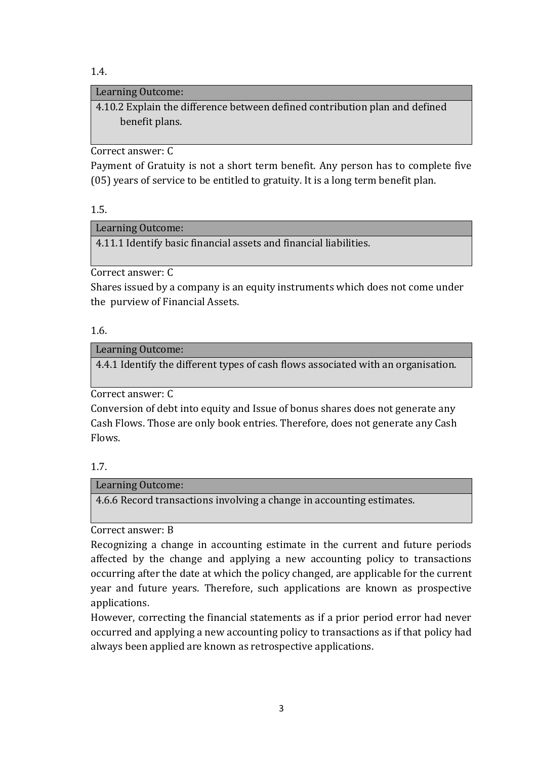1.4.

### Learning Outcome:

4.10.2 Explain the difference between defined contribution plan and defined benefit plans.

Correct answer: C

Payment of Gratuity is not a short term benefit. Any person has to complete five (05) years of service to be entitled to gratuity. It is a long term benefit plan.

1.5.

Learning Outcome:

4.11.1 Identify basic financial assets and financial liabilities.

Correct answer: C

Shares issued by a company is an equity instruments which does not come under the purview of Financial Assets.

### 1.6.

Learning Outcome:

4.4.1 Identify the different types of cash flows associated with an organisation.

Correct answer: C

Conversion of debt into equity and Issue of bonus shares does not generate any Cash Flows. Those are only book entries. Therefore, does not generate any Cash Flows.

### 1.7.

Learning Outcome:

4.6.6 Record transactions involving a change in accounting estimates.

Correct answer: B

Recognizing a change in accounting estimate in the current and future periods affected by the change and applying a new accounting policy to transactions occurring after the date at which the policy changed, are applicable for the current year and future years. Therefore, such applications are known as prospective applications.

However, correcting the financial statements as if a prior period error had never occurred and applying a new accounting policy to transactions as if that policy had always been applied are known as retrospective applications.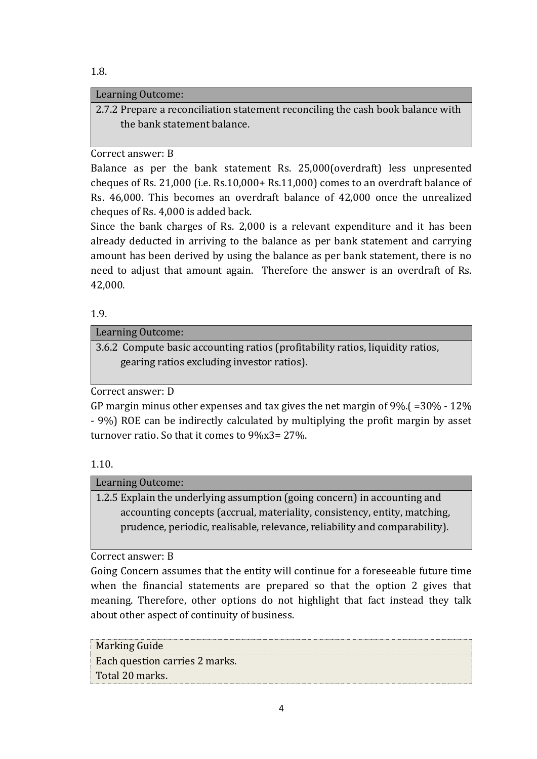### 1.8.

### Learning Outcome:

2.7.2 Prepare a reconciliation statement reconciling the cash book balance with the bank statement balance.

### Correct answer: B

Balance as per the bank statement Rs. 25,000(overdraft) less unpresented cheques of Rs. 21,000 (i.e. Rs.10,000+ Rs.11,000) comes to an overdraft balance of Rs. 46,000. This becomes an overdraft balance of 42,000 once the unrealized cheques of Rs. 4,000 is added back.

Since the bank charges of Rs. 2,000 is a relevant expenditure and it has been already deducted in arriving to the balance as per bank statement and carrying amount has been derived by using the balance as per bank statement, there is no need to adjust that amount again. Therefore the answer is an overdraft of Rs. 42,000.

### 1.9.

### Learning Outcome:

3.6.2 Compute basic accounting ratios (profitability ratios, liquidity ratios, gearing ratios excluding investor ratios).

Correct answer: D

GP margin minus other expenses and tax gives the net margin of 9%.( =30% - 12% - 9%) ROE can be indirectly calculated by multiplying the profit margin by asset turnover ratio. So that it comes to 9%x3= 27%.

### 1.10.

### Learning Outcome:

1.2.5 Explain the underlying assumption (going concern) in accounting and accounting concepts (accrual, materiality, consistency, entity, matching, prudence, periodic, realisable, relevance, reliability and comparability).

Correct answer: B

Going Concern assumes that the entity will continue for a foreseeable future time when the financial statements are prepared so that the option 2 gives that meaning. Therefore, other options do not highlight that fact instead they talk about other aspect of continuity of business.

Marking Guide Each question carries 2 marks. Total 20 marks.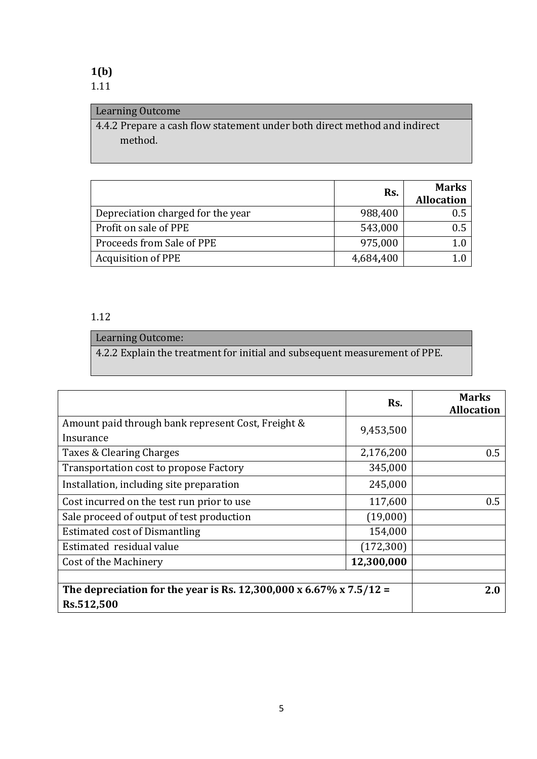### **1(b)** 1.11

### Learning Outcome

4.4.2 Prepare a cash flow statement under both direct method and indirect method.

|                                   | Rs.       | <b>Marks</b><br><b>Allocation</b> |
|-----------------------------------|-----------|-----------------------------------|
| Depreciation charged for the year | 988,400   | 0.5                               |
| Profit on sale of PPE             | 543,000   | 0.5                               |
| Proceeds from Sale of PPE         | 975,000   |                                   |
| <b>Acquisition of PPE</b>         | 4,684,400 |                                   |

### 1.12

### Learning Outcome:

4.2.2 Explain the treatment for initial and subsequent measurement of PPE.

|                                                                    | Rs.        | <b>Marks</b><br><b>Allocation</b> |
|--------------------------------------------------------------------|------------|-----------------------------------|
| Amount paid through bank represent Cost, Freight &                 | 9,453,500  |                                   |
| Insurance                                                          |            |                                   |
| Taxes & Clearing Charges                                           | 2,176,200  | 0.5                               |
| Transportation cost to propose Factory                             | 345,000    |                                   |
| Installation, including site preparation                           | 245,000    |                                   |
| Cost incurred on the test run prior to use                         | 117,600    | 0.5                               |
| Sale proceed of output of test production                          | (19,000)   |                                   |
| <b>Estimated cost of Dismantling</b>                               | 154,000    |                                   |
| Estimated residual value                                           | (172, 300) |                                   |
| Cost of the Machinery                                              | 12,300,000 |                                   |
|                                                                    |            |                                   |
| The depreciation for the year is Rs. 12,300,000 x 6.67% x 7.5/12 = |            | 2.0                               |
| Rs.512,500                                                         |            |                                   |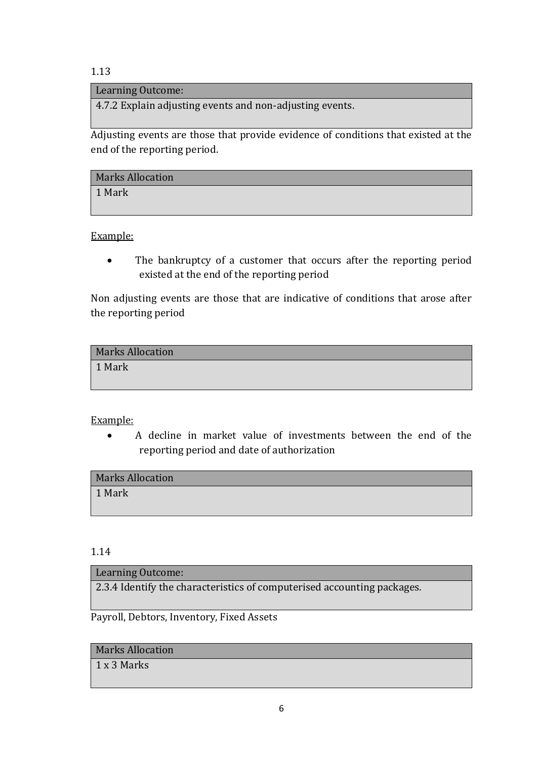#### Learning Outcome:

4.7.2 Explain adjusting events and non-adjusting events.

Adjusting events are those that provide evidence of conditions that existed at the end of the reporting period.

| <b>Marks Allocation</b> |  |
|-------------------------|--|
| 1 Mark                  |  |

Example:

• The bankruptcy of a customer that occurs after the reporting period existed at the end of the reporting period

Non adjusting events are those that are indicative of conditions that arose after the reporting period

| <b>Marks Allocation</b> |  |
|-------------------------|--|
| 1 Mark                  |  |

Example:

 A decline in market value of investments between the end of the reporting period and date of authorization

1.14

#### Learning Outcome:

2.3.4 Identify the characteristics of computerised accounting packages.

Payroll, Debtors, Inventory, Fixed Assets

### Marks Allocation

1 x 3 Marks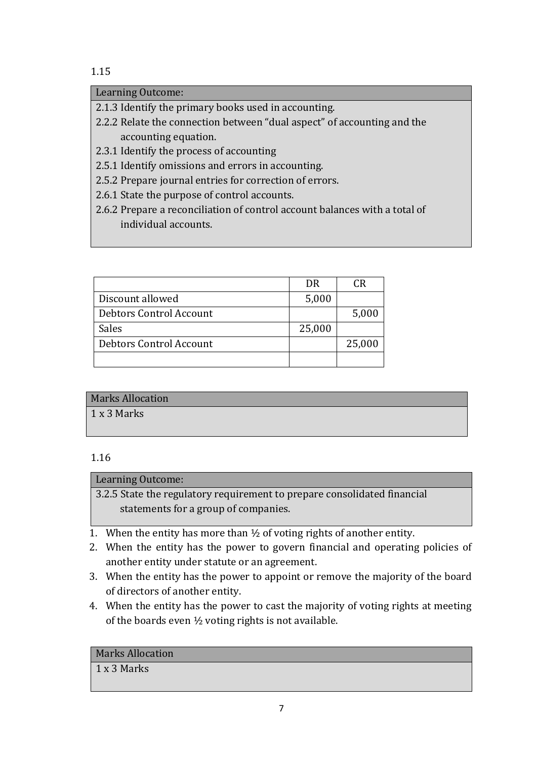### Learning Outcome:

2.1.3 Identify the primary books used in accounting.

- 2.2.2 Relate the connection between "dual aspect" of accounting and the accounting equation.
- 2.3.1 Identify the process of accounting
- 2.5.1 Identify omissions and errors in accounting.
- 2.5.2 Prepare journal entries for correction of errors.
- 2.6.1 State the purpose of control accounts.
- 2.6.2 Prepare a reconciliation of control account balances with a total of individual accounts.

|                         | DR     | CR     |
|-------------------------|--------|--------|
| Discount allowed        | 5,000  |        |
| Debtors Control Account |        | 5,000  |
| Sales                   | 25,000 |        |
| Debtors Control Account |        | 25,000 |
|                         |        |        |

### Marks Allocation

1 x 3 Marks

### 1.16

### Learning Outcome:

3.2.5 State the regulatory requirement to prepare consolidated financial statements for a group of companies.

- 1. When the entity has more than  $\frac{1}{2}$  of voting rights of another entity.
- 2. When the entity has the power to govern financial and operating policies of another entity under statute or an agreement.
- 3. When the entity has the power to appoint or remove the majority of the board of directors of another entity.
- 4. When the entity has the power to cast the majority of voting rights at meeting of the boards even ½ voting rights is not available.

### Marks Allocation

### 1 x 3 Marks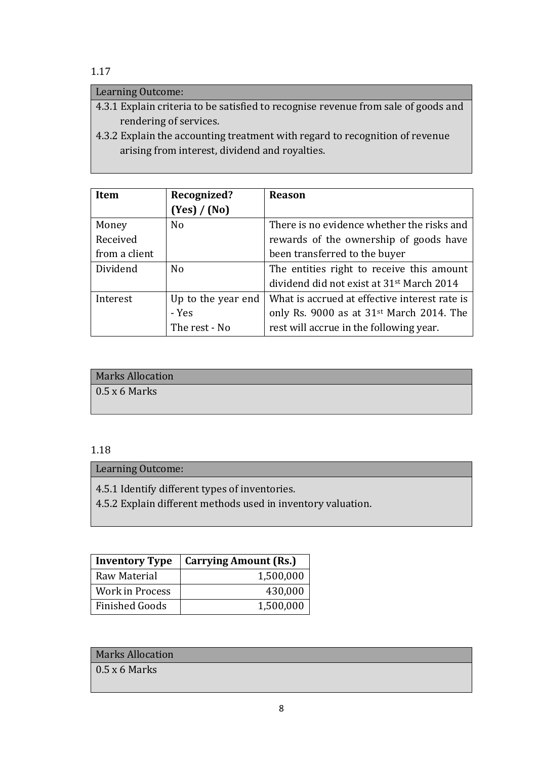### Learning Outcome:

- 4.3.1 Explain criteria to be satisfied to recognise revenue from sale of goods and rendering of services.
- 4.3.2 Explain the accounting treatment with regard to recognition of revenue arising from interest, dividend and royalties.

| Item          | Recognized?        | <b>Reason</b>                                         |
|---------------|--------------------|-------------------------------------------------------|
|               | (Yes) / (No)       |                                                       |
| Money         | N <sub>0</sub>     | There is no evidence whether the risks and            |
| Received      |                    | rewards of the ownership of goods have                |
| from a client |                    | been transferred to the buyer                         |
| Dividend      | N <sub>0</sub>     | The entities right to receive this amount             |
|               |                    | dividend did not exist at 31 <sup>st</sup> March 2014 |
| Interest      | Up to the year end | What is accrued at effective interest rate is         |
|               | - Yes              | only Rs. 9000 as at 31 <sup>st</sup> March 2014. The  |
|               | The rest - No      | rest will accrue in the following year.               |

# Marks Allocation  $0.5 \times 6$  Marks

### 1.18

Learning Outcome:

4.5.1 Identify different types of inventories.

4.5.2 Explain different methods used in inventory valuation.

| <b>Inventory Type</b>  | <b>Carrying Amount (Rs.)</b> |
|------------------------|------------------------------|
| Raw Material           | 1,500,000                    |
| <b>Work in Process</b> | 430,000                      |
| <b>Finished Goods</b>  | 1,500,000                    |

### Marks Allocation

 $0.5 \times 6$  Marks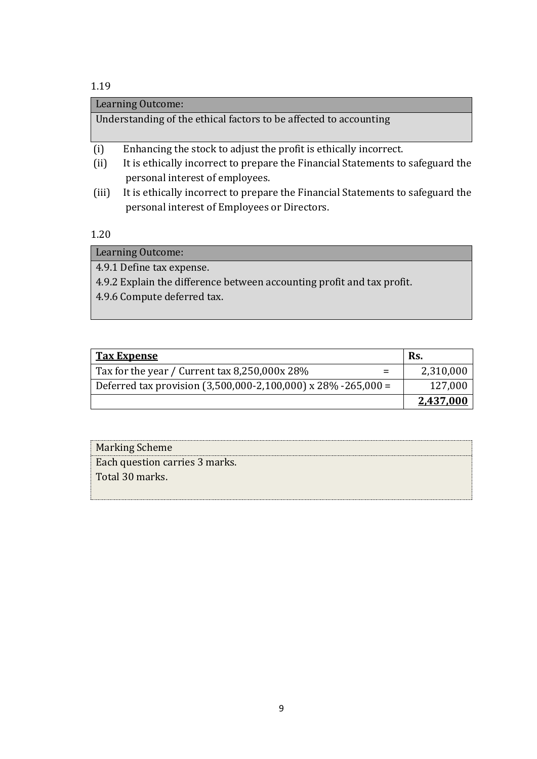### Learning Outcome:

Understanding of the ethical factors to be affected to accounting

- (i) Enhancing the stock to adjust the profit is ethically incorrect.
- (ii) It is ethically incorrect to prepare the Financial Statements to safeguard the personal interest of employees.
- (iii) It is ethically incorrect to prepare the Financial Statements to safeguard the personal interest of Employees or Directors.

1.20

Learning Outcome: 4.9.1 Define tax expense. 4.9.2 Explain the difference between accounting profit and tax profit. 4.9.6 Compute deferred tax.

| <b>Tax Expense</b>                                              | Rs.       |
|-----------------------------------------------------------------|-----------|
| Tax for the year / Current tax 8,250,000x 28%<br>$=$            | 2,310,000 |
| Deferred tax provision $(3,500,000-2,100,000)$ x 28% -265,000 = | 127,000   |
|                                                                 | 2,437,000 |

| <b>Marking Scheme</b>          |  |
|--------------------------------|--|
| Each question carries 3 marks. |  |
| Total 30 marks.                |  |
|                                |  |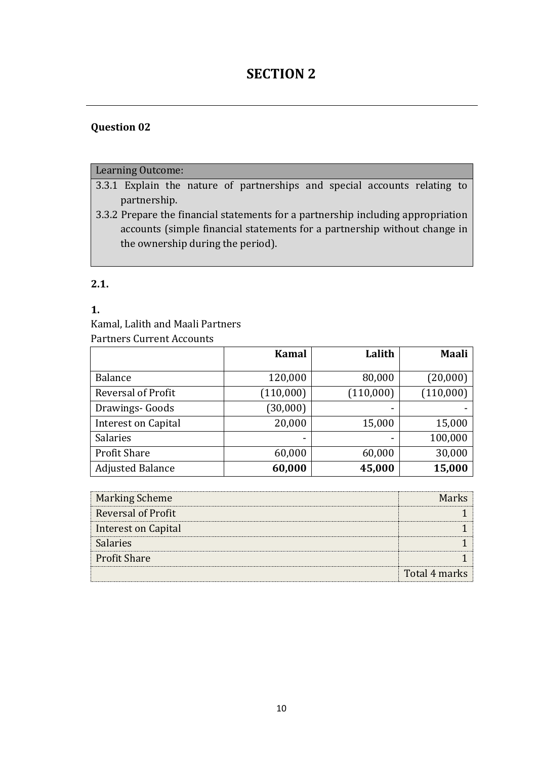# **SECTION 2**

### **Question 02**

### Learning Outcome:

- 3.3.1 Explain the nature of partnerships and special accounts relating to partnership.
- 3.3.2 Prepare the financial statements for a partnership including appropriation accounts (simple financial statements for a partnership without change in the ownership during the period).

### **2.1.**

### **1.**

Kamal, Lalith and Maali Partners

Partners Current Accounts

|                            | <b>Kamal</b> | Lalith    | <b>Maali</b> |
|----------------------------|--------------|-----------|--------------|
|                            |              |           |              |
| <b>Balance</b>             | 120,000      | 80,000    | (20,000)     |
| Reversal of Profit         | (110,000)    | (110,000) | (110,000)    |
| Drawings- Goods            | (30,000)     |           |              |
| <b>Interest on Capital</b> | 20,000       | 15,000    | 15,000       |
| Salaries                   |              |           | 100,000      |
| <b>Profit Share</b>        | 60,000       | 60,000    | 30,000       |
| <b>Adjusted Balance</b>    | 60,000       | 45,000    | 15,000       |

| <b>Marking Scheme</b>      | Mar           |
|----------------------------|---------------|
| <b>Reversal of Profit</b>  |               |
| <b>Interest on Capital</b> |               |
| <b>Salaries</b>            |               |
| <b>Profit Share</b>        |               |
|                            | Total 4 marks |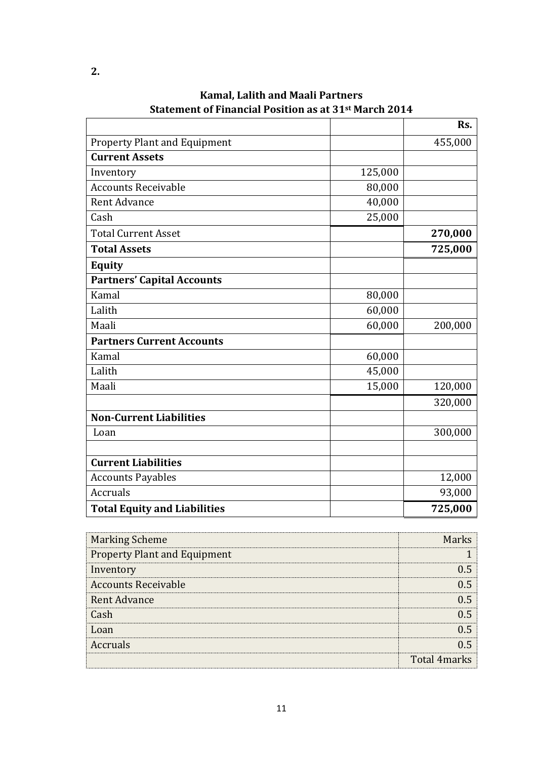|                                     |         | Rs.     |
|-------------------------------------|---------|---------|
| <b>Property Plant and Equipment</b> |         | 455,000 |
| <b>Current Assets</b>               |         |         |
| Inventory                           | 125,000 |         |
| <b>Accounts Receivable</b>          | 80,000  |         |
| <b>Rent Advance</b>                 | 40,000  |         |
| Cash                                | 25,000  |         |
| <b>Total Current Asset</b>          |         | 270,000 |
| <b>Total Assets</b>                 |         | 725,000 |
| <b>Equity</b>                       |         |         |
| <b>Partners' Capital Accounts</b>   |         |         |
| Kamal                               | 80,000  |         |
| Lalith                              | 60,000  |         |
| Maali                               | 60,000  | 200,000 |
| <b>Partners Current Accounts</b>    |         |         |
| Kamal                               | 60,000  |         |
| Lalith                              | 45,000  |         |
| Maali                               | 15,000  | 120,000 |
|                                     |         | 320,000 |
| <b>Non-Current Liabilities</b>      |         |         |
| Loan                                |         | 300,000 |
|                                     |         |         |
| <b>Current Liabilities</b>          |         |         |
| <b>Accounts Payables</b>            |         | 12,000  |
| <b>Accruals</b>                     |         | 93,000  |
| <b>Total Equity and Liabilities</b> |         | 725,000 |

**Kamal, Lalith and Maali Partners Statement of Financial Position as at 31st March 2014**

| <b>Marking Scheme</b>               | Marks               |
|-------------------------------------|---------------------|
| <b>Property Plant and Equipment</b> |                     |
| Inventory                           | () ኣ                |
| <b>Accounts Receivable</b>          | () 5                |
| <b>Rent Advance</b>                 | 11 5                |
| Cash                                | በ 5                 |
| Loan                                |                     |
| Accruals                            |                     |
|                                     | <b>Total 4marks</b> |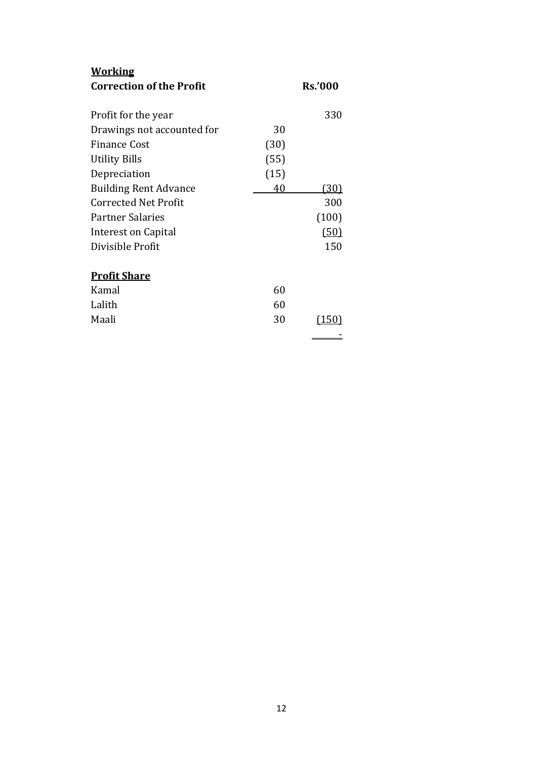| <u>Working</u>                  |      |                |
|---------------------------------|------|----------------|
| <b>Correction of the Profit</b> |      | <b>Rs.'000</b> |
|                                 |      |                |
| Profit for the year             |      | 330            |
| Drawings not accounted for      | 30   |                |
| <b>Finance Cost</b>             | (30) |                |
| <b>Utility Bills</b>            | (55) |                |
| Depreciation                    | (15) |                |
| <b>Building Rent Advance</b>    | 40   | (30)           |
| <b>Corrected Net Profit</b>     |      | 300            |
| <b>Partner Salaries</b>         |      | (100)          |
| Interest on Capital             |      | (50)           |
| Divisible Profit                |      | 150            |
|                                 |      |                |
| <b>Profit Share</b>             |      |                |
| Kamal                           | 60   |                |
| Lalith                          | 60   |                |
| Maali                           | 30   | (150           |
|                                 |      |                |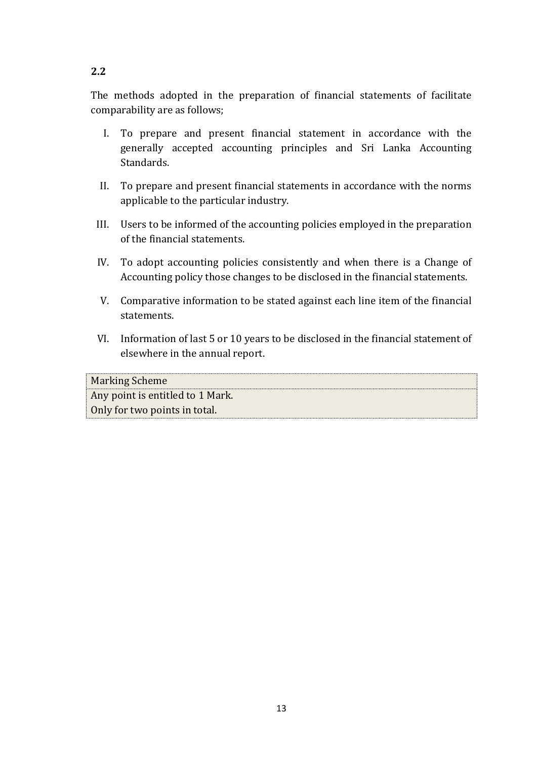# The methods adopted in the preparation of financial statements of facilitate comparability are as follows;

- I. To prepare and present financial statement in accordance with the generally accepted accounting principles and Sri Lanka Accounting Standards.
- II. To prepare and present financial statements in accordance with the norms applicable to the particular industry.
- III. Users to be informed of the accounting policies employed in the preparation of the financial statements.
- IV. To adopt accounting policies consistently and when there is a Change of Accounting policy those changes to be disclosed in the financial statements.
- V. Comparative information to be stated against each line item of the financial statements.
- VI. Information of last 5 or 10 years to be disclosed in the financial statement of elsewhere in the annual report.

| <b>Marking Scheme</b>            |
|----------------------------------|
| Any point is entitled to 1 Mark. |
| Only for two points in total.    |

# **2.2**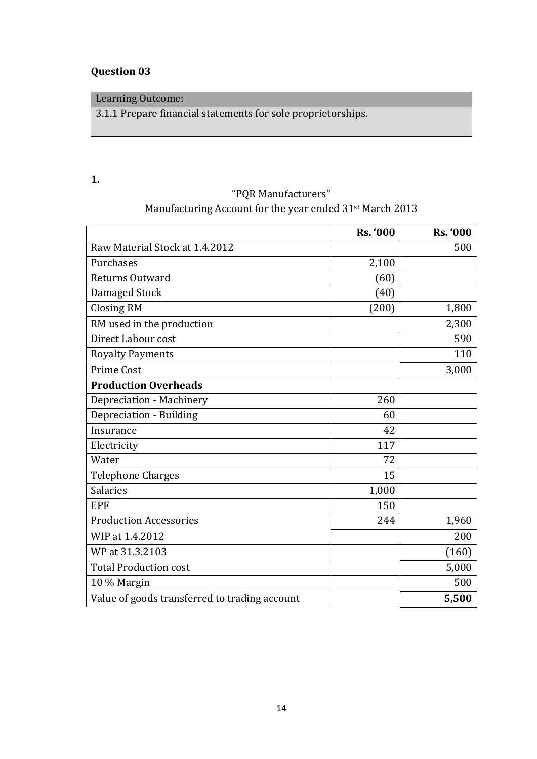## **Question 03**

## Learning Outcome:

3.1.1 Prepare financial statements for sole proprietorships.

### **1.**

# "PQR Manufacturers" Manufacturing Account for the year ended 31<sup>st</sup> March 2013

|                                               | <b>Rs. '000</b> | <b>Rs. '000</b> |
|-----------------------------------------------|-----------------|-----------------|
| Raw Material Stock at 1.4.2012                |                 | 500             |
| Purchases                                     | 2,100           |                 |
| Returns Outward                               | (60)            |                 |
| Damaged Stock                                 | (40)            |                 |
| <b>Closing RM</b>                             | (200)           | 1,800           |
| RM used in the production                     |                 | 2,300           |
| Direct Labour cost                            |                 | 590             |
| <b>Royalty Payments</b>                       |                 | 110             |
| <b>Prime Cost</b>                             |                 | 3,000           |
| <b>Production Overheads</b>                   |                 |                 |
| Depreciation - Machinery                      | 260             |                 |
| Depreciation - Building                       | 60              |                 |
| Insurance                                     | 42              |                 |
| Electricity                                   | 117             |                 |
| Water                                         | 72              |                 |
| <b>Telephone Charges</b>                      | 15              |                 |
| <b>Salaries</b>                               | 1,000           |                 |
| <b>EPF</b>                                    | 150             |                 |
| <b>Production Accessories</b>                 | 244             | 1,960           |
| WIP at 1.4.2012                               |                 | 200             |
| WP at 31.3.2103                               |                 | (160)           |
| <b>Total Production cost</b>                  |                 | 5,000           |
| 10 % Margin                                   |                 | 500             |
| Value of goods transferred to trading account |                 | 5,500           |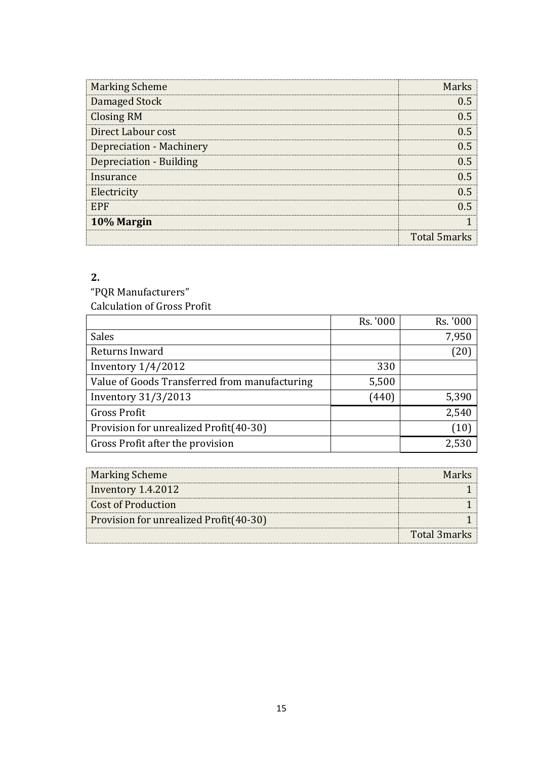| <b>Marking Scheme</b>          | <b>Marks</b>        |
|--------------------------------|---------------------|
| Damaged Stock                  | () ኣ                |
| <b>Closing RM</b>              | () 5                |
| Direct Labour cost             | 1) 5                |
| Depreciation - Machinery       | () 5                |
| <b>Depreciation - Building</b> | በ 5                 |
| Insurance                      | n 5                 |
| Electricity                    | () 5                |
| <b>EPF</b>                     |                     |
| 10% Margin                     |                     |
|                                | <b>Total 5marks</b> |

"PQR Manufacturers" Calculation of Gross Profit

|                                               | Rs. '000 | Rs. '000 |
|-----------------------------------------------|----------|----------|
| Sales                                         |          | 7,950    |
| Returns Inward                                |          | (20)     |
| Inventory $1/4/2012$                          | 330      |          |
| Value of Goods Transferred from manufacturing | 5,500    |          |
| Inventory 31/3/2013                           | (440)    | 5,390    |
| <b>Gross Profit</b>                           |          | 2,540    |
| Provision for unrealized Profit(40-30)        |          | (10)     |
| Gross Profit after the provision              |          | 2,530    |

| <b>Marking Scheme</b>                  |              |
|----------------------------------------|--------------|
| Inventory 1.4.2012                     |              |
| Cost of Production                     |              |
| Provision for unrealized Profit(40-30) |              |
|                                        | Total 3marks |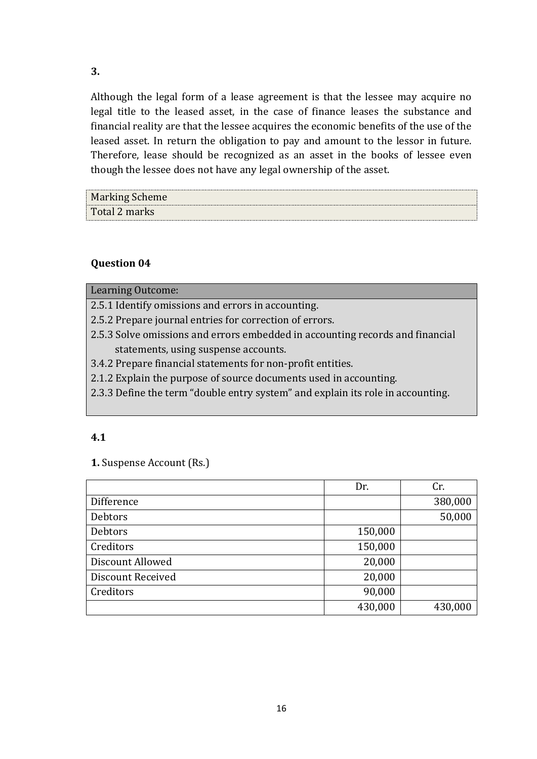Although the legal form of a lease agreement is that the lessee may acquire no legal title to the leased asset, in the case of finance leases the substance and financial reality are that the lessee acquires the economic benefits of the use of the leased asset. In return the obligation to pay and amount to the lessor in future. Therefore, lease should be recognized as an asset in the books of lessee even though the lessee does not have any legal ownership of the asset.

| <b>Marking Scheme</b> |  |
|-----------------------|--|
| Total 2 marks         |  |

### **Question 04**

Learning Outcome:

2.5.1 Identify omissions and errors in accounting.

2.5.2 Prepare journal entries for correction of errors.

2.5.3 Solve omissions and errors embedded in accounting records and financial statements, using suspense accounts.

3.4.2 Prepare financial statements for non-profit entities.

2.1.2 Explain the purpose of source documents used in accounting.

2.3.3 Define the term "double entry system" and explain its role in accounting.

#### **4.1**

#### **1.** Suspense Account (Rs.)

|                          | Dr.     | Cr.     |
|--------------------------|---------|---------|
| Difference               |         | 380,000 |
| <b>Debtors</b>           |         | 50,000  |
| Debtors                  | 150,000 |         |
| Creditors                | 150,000 |         |
| Discount Allowed         | 20,000  |         |
| <b>Discount Received</b> | 20,000  |         |
| Creditors                | 90,000  |         |
|                          | 430,000 | 430,000 |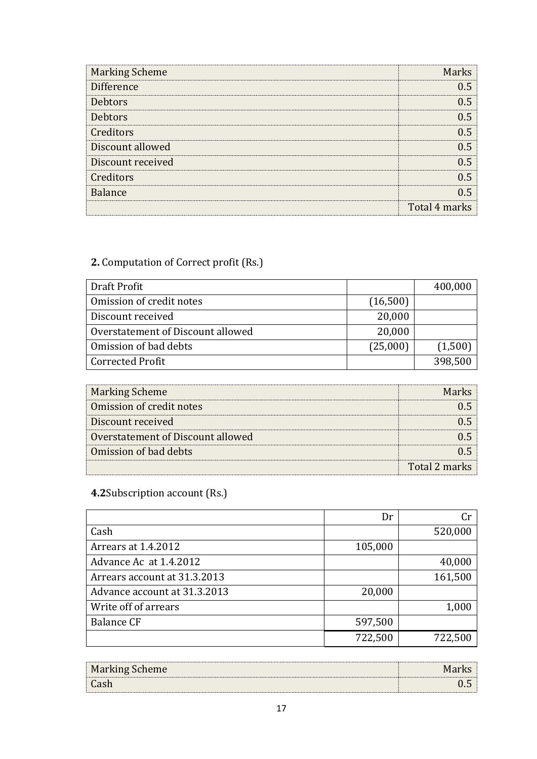| <b>Marking Scheme</b> | <b>Marks</b>  |
|-----------------------|---------------|
| Difference            | 0 5           |
| <b>Debtors</b>        | 05            |
| <b>Debtors</b>        | በ 5           |
| Creditors             | 0.5           |
| Discount allowed      | በ 5           |
| Discount received     | 05            |
| Creditors             | በ 5           |
| <b>Balance</b>        | በ 5           |
|                       | Total 4 marks |

## **2.** Computation of Correct profit (Rs.)

| Draft Profit                      |          | 400,000 |
|-----------------------------------|----------|---------|
| Omission of credit notes          | (16,500) |         |
| Discount received                 | 20,000   |         |
| Overstatement of Discount allowed | 20,000   |         |
| Omission of bad debts             | (25,000) | (1,500) |
| <b>Corrected Profit</b>           |          | 398,500 |

| <b>Marking Scheme</b>             | Marbe         |
|-----------------------------------|---------------|
| Omission of credit notes          |               |
| Discount received                 |               |
| Overstatement of Discount allowed |               |
| Omission of bad debts             |               |
|                                   | Total 2 marks |

# **4.2**Subscription account (Rs.)

|                              | Dr      | Cr      |
|------------------------------|---------|---------|
| Cash                         |         | 520,000 |
| Arrears at 1.4.2012          | 105,000 |         |
| Advance Ac at 1.4.2012       |         | 40,000  |
| Arrears account at 31.3.2013 |         | 161,500 |
| Advance account at 31.3.2013 | 20,000  |         |
| Write off of arrears         |         | 1,000   |
| <b>Balance CF</b>            | 597,500 |         |
|                              | 722,500 | 722,500 |

| <b>Marking Scheme</b> |  |
|-----------------------|--|
| ® Cash<br>            |  |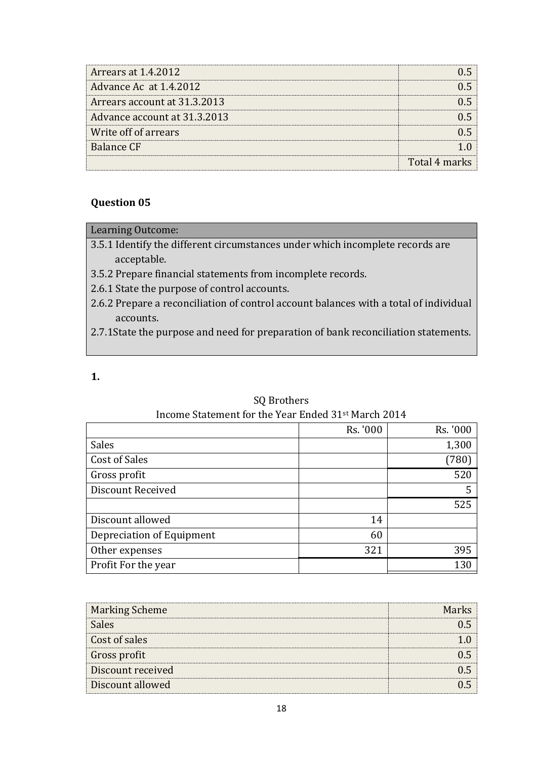| Arrears at 1.4.2012          |               |
|------------------------------|---------------|
| Advance Ac at 1.4.2012       |               |
| Arrears account at 31.3.2013 |               |
| Advance account at 31.3.2013 |               |
| Write off of arrears         |               |
| Balance CF                   |               |
|                              | Total 4 marks |

### **Question 05**

### Learning Outcome:

- 3.5.1 Identify the different circumstances under which incomplete records are acceptable.
- 3.5.2 Prepare financial statements from incomplete records.
- 2.6.1 State the purpose of control accounts.
- 2.6.2 Prepare a reconciliation of control account balances with a total of individual accounts.
- 2.7.1State the purpose and need for preparation of bank reconciliation statements.
- **1.**

### SQ Brothers Income Statement for the Year Ended 31st March 2014

|                           | Rs. '000 | Rs. '000 |
|---------------------------|----------|----------|
| Sales                     |          | 1,300    |
| <b>Cost of Sales</b>      |          | (780)    |
| Gross profit              |          | 520      |
| <b>Discount Received</b>  |          |          |
|                           |          | 525      |
| Discount allowed          | 14       |          |
| Depreciation of Equipment | 60       |          |
| Other expenses            | 321      | 395      |
| Profit For the year       |          | 130      |

| <b>Marking Scheme</b> | Morl |
|-----------------------|------|
| <b>Sales</b>          |      |
| Cost of sales         |      |
| Gross profit          |      |
| Discount received     |      |
| Discount allowed      |      |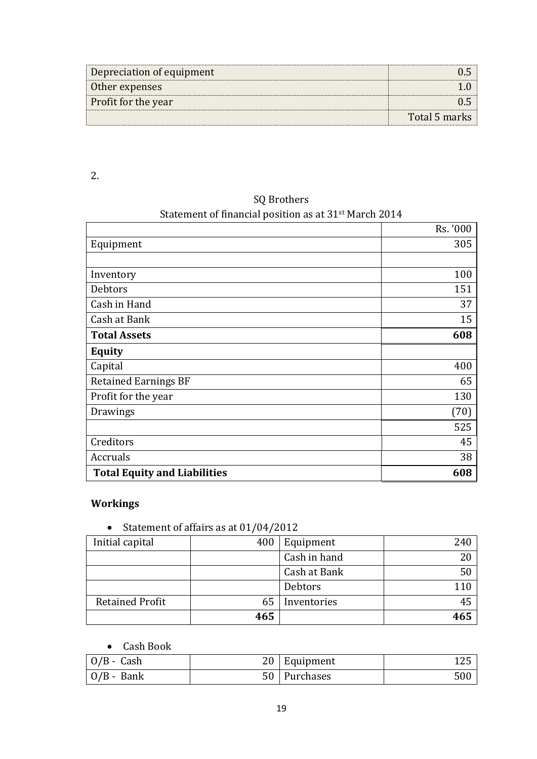| Depreciation of equipment  |               |
|----------------------------|---------------|
| Other expenses             |               |
| <b>Profit for the year</b> |               |
|                            | Total 5 marks |

# SQ Brothers

### Statement of financial position as at 31st March 2014

|                                     | Rs. '000 |
|-------------------------------------|----------|
| Equipment                           | 305      |
|                                     |          |
| Inventory                           | 100      |
| Debtors                             | 151      |
| Cash in Hand                        | 37       |
| Cash at Bank                        | 15       |
| <b>Total Assets</b>                 | 608      |
| <b>Equity</b>                       |          |
| Capital                             | 400      |
| <b>Retained Earnings BF</b>         | 65       |
| Profit for the year                 | 130      |
| Drawings                            | (70)     |
|                                     | 525      |
| Creditors                           | 45       |
| Accruals                            | 38       |
| <b>Total Equity and Liabilities</b> | 608      |

## **Workings**

• Statement of affairs as at 01/04/2012

| Initial capital        | 400 | Equipment    | 240 |
|------------------------|-----|--------------|-----|
|                        |     | Cash in hand |     |
|                        |     | Cash at Bank | 50  |
|                        |     | Debtors      |     |
| <b>Retained Profit</b> | 65  | Inventories  | 45  |
|                        | 465 |              | 465 |

### Cash Book

| $\vert$ O/B - Cash | 20 | <sup>'</sup> Equipment | ᅶᄼ |
|--------------------|----|------------------------|----|
| $\vert$ O/B - Bank | 50 | Purchases              |    |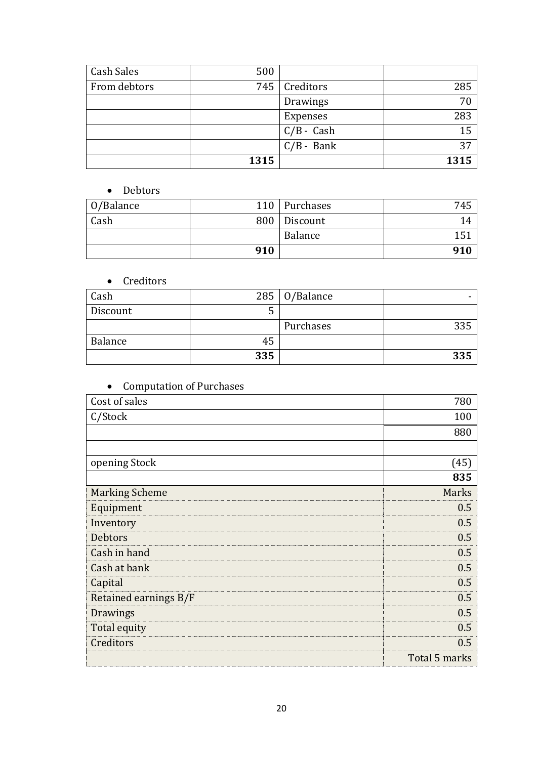| Cash Sales   | 500  |              |      |
|--------------|------|--------------|------|
| From debtors | 745  | Creditors    | 285  |
|              |      | Drawings     | 70   |
|              |      | Expenses     | 283  |
|              |      | $C/B$ - Cash | 15   |
|              |      | $C/B$ - Bank | 37   |
|              | 1315 |              | 1315 |

### • Debtors

| O/Balance |     | 110 Purchases  | 745 |
|-----------|-----|----------------|-----|
| Cash      |     | 800   Discount | 14  |
|           |     | Balance        | 151 |
|           | 910 |                | 910 |

### • Creditors

| Cash     |     | 285   $0/B$ alance |     |
|----------|-----|--------------------|-----|
| Discount |     |                    |     |
|          |     | Purchases          | つつに |
| Balance  | 45  |                    |     |
|          | 335 |                    | 335 |

# • Computation of Purchases

| Cost of sales         | 780           |
|-----------------------|---------------|
| C/Stock               | 100           |
|                       | 880           |
|                       |               |
| opening Stock         | (45)          |
|                       | 835           |
| <b>Marking Scheme</b> | Marks         |
| Equipment             | 0.5           |
| Inventory             | 0.5           |
| <b>Debtors</b>        | 0.5           |
| Cash in hand          | 0.5           |
| Cash at bank          | 0.5           |
| Capital               | 0.5           |
| Retained earnings B/F | 0.5           |
| Drawings              | 0.5           |
| Total equity          | 0.5           |
| Creditors             | 0.5           |
|                       | Total 5 marks |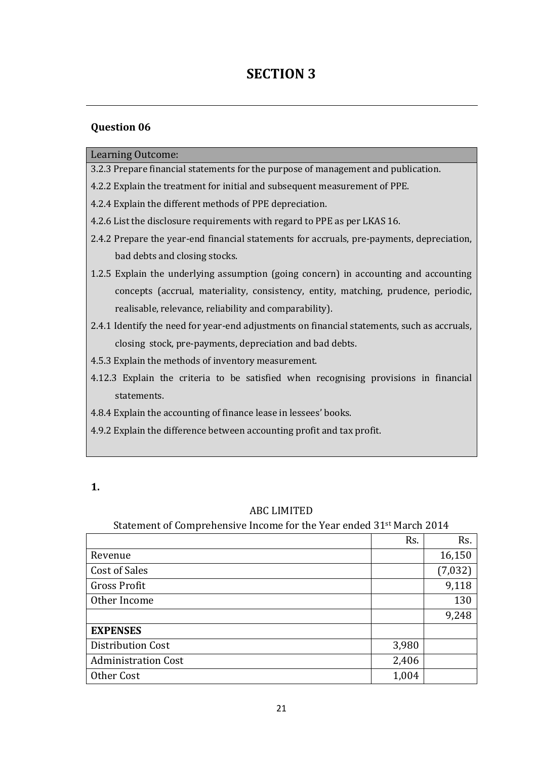# **SECTION 3**

#### **Question 06**

#### Learning Outcome:

- 3.2.3 Prepare financial statements for the purpose of management and publication.
- 4.2.2 Explain the treatment for initial and subsequent measurement of PPE.
- 4.2.4 Explain the different methods of PPE depreciation.
- 4.2.6 List the disclosure requirements with regard to PPE as per LKAS 16.
- 2.4.2 Prepare the year-end financial statements for accruals, pre-payments, depreciation, bad debts and closing stocks.
- 1.2.5 Explain the underlying assumption (going concern) in accounting and accounting concepts (accrual, materiality, consistency, entity, matching, prudence, periodic, realisable, relevance, reliability and comparability).
- 2.4.1 Identify the need for year-end adjustments on financial statements, such as accruals, closing stock, pre-payments, depreciation and bad debts.
- 4.5.3 Explain the methods of inventory measurement.
- 4.12.3 Explain the criteria to be satisfied when recognising provisions in financial statements.
- 4.8.4 Explain the accounting of finance lease in lessees' books.
- 4.9.2 Explain the difference between accounting profit and tax profit.

### ABC LIMITED

# Statement of Comprehensive Income for the Year ended 31st March 2014

|                            | Rs.   | Rs.     |
|----------------------------|-------|---------|
| Revenue                    |       | 16,150  |
| <b>Cost of Sales</b>       |       | (7,032) |
| <b>Gross Profit</b>        |       | 9,118   |
| Other Income               |       | 130     |
|                            |       | 9,248   |
| <b>EXPENSES</b>            |       |         |
| Distribution Cost          | 3,980 |         |
| <b>Administration Cost</b> | 2,406 |         |
| Other Cost                 | 1,004 |         |

**<sup>1.</sup>**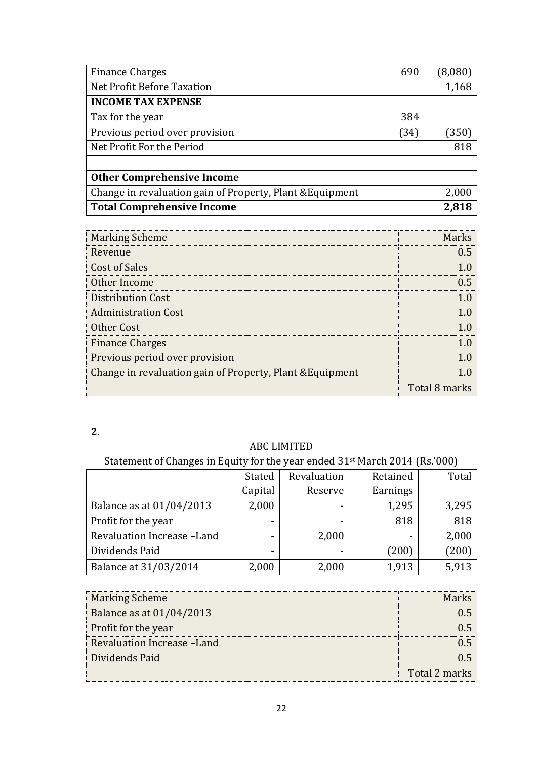| <b>Finance Charges</b>                                    | 690  | (8,080) |
|-----------------------------------------------------------|------|---------|
| Net Profit Before Taxation                                |      | 1,168   |
| <b>INCOME TAX EXPENSE</b>                                 |      |         |
| Tax for the year                                          | 384  |         |
| Previous period over provision                            | (34) | (350)   |
| Net Profit For the Period                                 |      | 818     |
|                                                           |      |         |
| <b>Other Comprehensive Income</b>                         |      |         |
| Change in revaluation gain of Property, Plant & Equipment |      | 2,000   |
| <b>Total Comprehensive Income</b>                         |      | 2,818   |

| <b>Marking Scheme</b>                                     | Marks         |
|-----------------------------------------------------------|---------------|
| Revenue                                                   |               |
| <b>Cost of Sales</b>                                      |               |
| Other Income                                              | 0 5           |
| Distribution Cost                                         |               |
| <b>Administration Cost</b>                                |               |
| Other Cost                                                |               |
| <b>Finance Charges</b>                                    |               |
| Previous period over provision                            |               |
| Change in revaluation gain of Property, Plant & Equipment |               |
|                                                           | Total 8 marks |

# ABC LIMITED

# Statement of Changes in Equity for the year ended 31st March 2014 (Rs.'000)

|                            | Stated  | Revaluation | Retained | Total |
|----------------------------|---------|-------------|----------|-------|
|                            | Capital | Reserve     | Earnings |       |
| Balance as at 01/04/2013   | 2,000   |             | 1,295    | 3,295 |
| Profit for the year        |         |             | 818      | 818   |
| Revaluation Increase -Land |         | 2,000       |          | 2,000 |
| Dividends Paid             |         |             | (200)    | (200) |
| Balance at 31/03/2014      | 2,000   | 2,000       | 1,913    | 5,913 |

| <b>Marking Scheme</b>       |               |
|-----------------------------|---------------|
| Balance as at 01/04/2013    |               |
| Profit for the year         |               |
| Revaluation Increase - Land |               |
| Dividends Paid              |               |
|                             | Total 2 marks |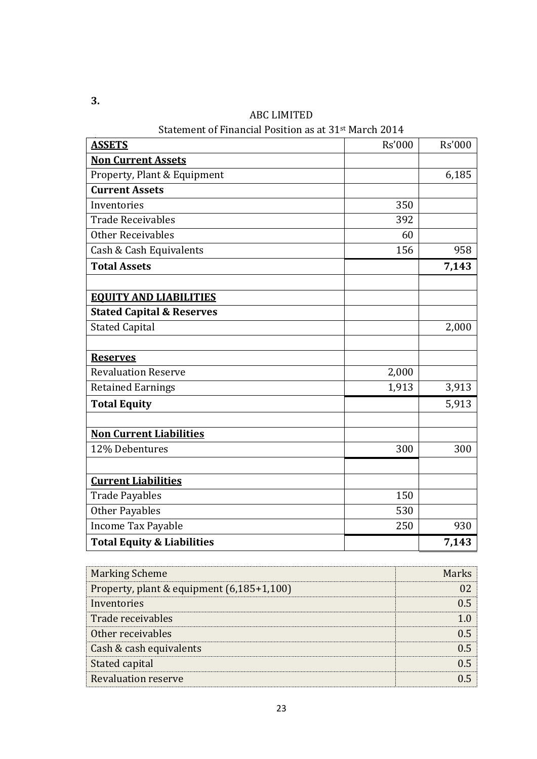| <b>ASSETS</b>                         | <b>Rs'000</b> | <b>Rs'000</b> |
|---------------------------------------|---------------|---------------|
| <b>Non Current Assets</b>             |               |               |
| Property, Plant & Equipment           |               | 6,185         |
| <b>Current Assets</b>                 |               |               |
| Inventories                           | 350           |               |
| <b>Trade Receivables</b>              | 392           |               |
| <b>Other Receivables</b>              | 60            |               |
| Cash & Cash Equivalents               | 156           | 958           |
| <b>Total Assets</b>                   |               | 7,143         |
| <b>EQUITY AND LIABILITIES</b>         |               |               |
| <b>Stated Capital &amp; Reserves</b>  |               |               |
| <b>Stated Capital</b>                 |               | 2,000         |
| <b>Reserves</b>                       |               |               |
| <b>Revaluation Reserve</b>            | 2,000         |               |
| <b>Retained Earnings</b>              | 1,913         | 3,913         |
| <b>Total Equity</b>                   |               | 5,913         |
| <b>Non Current Liabilities</b>        |               |               |
| 12% Debentures                        | 300           | 300           |
| <b>Current Liabilities</b>            |               |               |
| <b>Trade Payables</b>                 | 150           |               |
| Other Payables                        | 530           |               |
| <b>Income Tax Payable</b>             | 250           | 930           |
| <b>Total Equity &amp; Liabilities</b> |               | 7,143         |

ABC LIMITED

Statement of Financial Position as at 31st March 2014

| <b>Marking Scheme</b>                     | Marbe |
|-------------------------------------------|-------|
| Property, plant & equipment (6,185+1,100) |       |
| Inventories                               |       |
| Trade receivables                         |       |
| Other receivables                         |       |
| Cash & cash equivalents                   |       |
| Stated capital                            |       |
| <b>Revaluation reserve</b>                |       |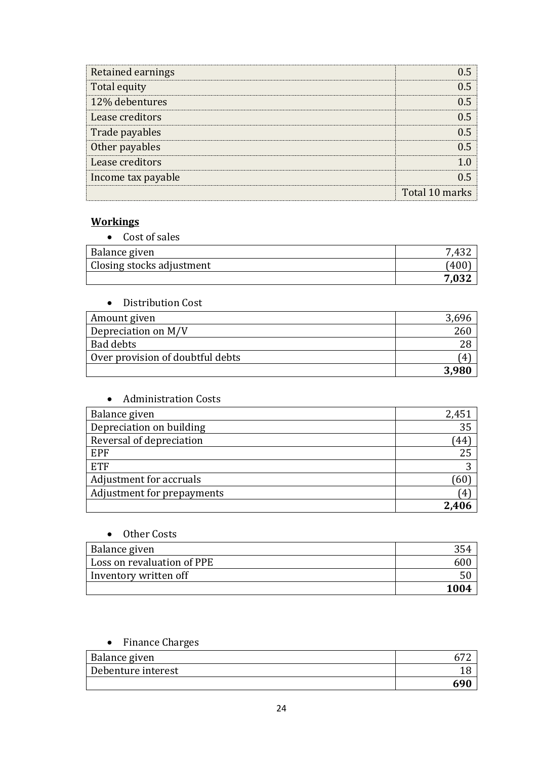| Retained earnings  |                |
|--------------------|----------------|
| Total equity       |                |
| 12% debentures     | () 5           |
| Lease creditors    |                |
| Trade payables     |                |
| Other payables     |                |
| Lease creditors    |                |
| Income tax payable |                |
|                    | Total 10 marks |

### **Workings**

| • Cost of sales           |      |
|---------------------------|------|
| <b>Balance given</b>      |      |
| Closing stocks adjustment | '40U |
|                           |      |

| Distribution Cost                |     |
|----------------------------------|-----|
| Amount given                     |     |
| Depreciation on M/V              | 260 |
| Bad debts                        | 28  |
| Over provision of doubtful debts | 4   |
|                                  |     |

### Administration Costs

| Balance given              | 2,451        |
|----------------------------|--------------|
| Depreciation on building   | 35           |
| Reversal of depreciation   | 44           |
| <b>EPF</b>                 | 25           |
| <b>ETF</b>                 | റ            |
| Adjustment for accruals    | 60           |
| Adjustment for prepayments | $\mathbf{4}$ |
|                            | 2.406        |

### • Other Costs

| Balance given              |      |
|----------------------------|------|
| Loss on revaluation of PPE |      |
| Inventory written off      |      |
|                            | 1004 |

## • Finance Charges

| Balance given      |  |
|--------------------|--|
| Debenture interest |  |
|                    |  |